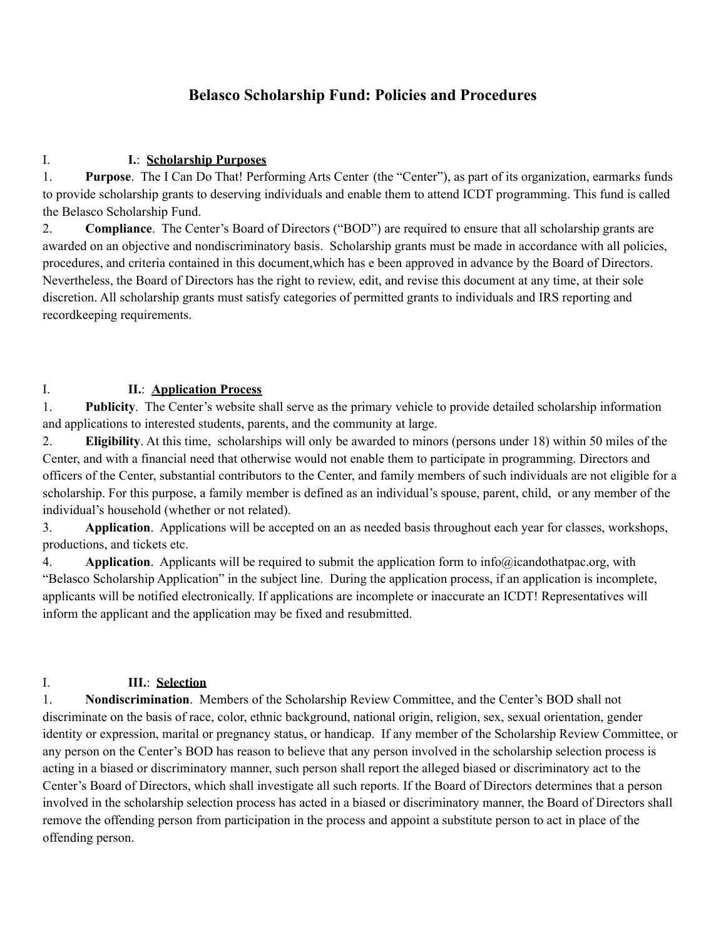# **Belasco Scholarship Fund: Policies and Procedures**

### I. **I.**: **Scholarship Purposes**

1. **Purpose**. The I Can Do That! Performing Arts Center (the "Center"), as part of its organization, earmarks funds to provide scholarship grants to deserving individuals and enable them to attend ICDT programming. This fund is called the Belasco Scholarship Fund.

2. **Compliance**. The Center's Board of Directors ("BOD") are required to ensure that all scholarship grants are awarded on an objective and nondiscriminatory basis. Scholarship grants must be made in accordance with all policies, procedures, and criteria contained in this document,which has e been approved in advance by the Board of Directors. Nevertheless, the Board of Directors has the right to review, edit, and revise this document at any time, at their sole discretion. All scholarship grants must satisfy categories of permitted grants to individuals and IRS reporting and recordkeeping requirements.

#### I. **II.**: **Application Process**

1. **Publicity**. The Center's website shall serve as the primary vehicle to provide detailed scholarship information and applications to interested students, parents, and the community at large.

2. **Eligibility**. At this time, scholarships will only be awarded to minors (persons under 18) within 50 miles of the Center, and with a financial need that otherwise would not enable them to participate in programming. Directors and officers of the Center, substantial contributors to the Center, and family members of such individuals are not eligible for a scholarship. For this purpose, a family member is defined as an individual's spouse, parent, child, or any member of the individual's household (whether or not related).

3. **Application**. Applications will be accepted on an as needed basis throughout each year for classes, workshops, productions, and tickets etc.

4. **Application**. Applicants will be required to submit the application form to info@icandothatpac.org, with "Belasco Scholarship Application" in the subject line. During the application process, if an application is incomplete, applicants will be notified electronically. If applications are incomplete or inaccurate an ICDT! Representatives will inform the applicant and the application may be fixed and resubmitted.

### I. **III.**: **Selection**

1. **Nondiscrimination**. Members of the Scholarship Review Committee, and the Center's BOD shall not discriminate on the basis of race, color, ethnic background, national origin, religion, sex, sexual orientation, gender identity or expression, marital or pregnancy status, or handicap. If any member of the Scholarship Review Committee, or any person on the Center's BOD has reason to believe that any person involved in the scholarship selection process is acting in a biased or discriminatory manner, such person shall report the alleged biased or discriminatory act to the Center's Board of Directors, which shall investigate all such reports. If the Board of Directors determines that a person involved in the scholarship selection process has acted in a biased or discriminatory manner, the Board of Directors shall remove the offending person from participation in the process and appoint a substitute person to act in place of the offending person.